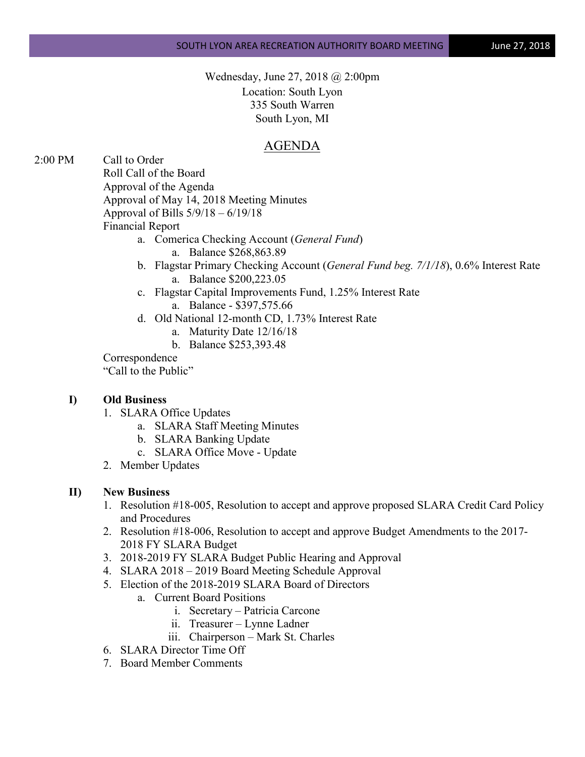Wednesday, June 27, 2018 @ 2:00pm Location: South Lyon 335 South Warren South Lyon, MI

## AGENDA

2:00 PM Call to Order

Roll Call of the Board

Approval of the Agenda

Approval of May 14, 2018 Meeting Minutes

Approval of Bills 5/9/18 – 6/19/18

Financial Report

- a. Comerica Checking Account (*General Fund*) a. Balance \$268,863.89
- b. Flagstar Primary Checking Account (*General Fund beg. 7/1/18*), 0.6% Interest Rate a. Balance \$200,223.05
- c. Flagstar Capital Improvements Fund, 1.25% Interest Rate a. Balance - \$397,575.66
- d. Old National 12-month CD, 1.73% Interest Rate
	- a. Maturity Date 12/16/18
	- b. Balance \$253,393.48

Correspondence

"Call to the Public"

## **I) Old Business**

- 1. SLARA Office Updates
	- a. SLARA Staff Meeting Minutes
	- b. SLARA Banking Update
	- c. SLARA Office Move Update
- 2. Member Updates

## **II) New Business**

- 1. Resolution #18-005, Resolution to accept and approve proposed SLARA Credit Card Policy and Procedures
- 2. Resolution #18-006, Resolution to accept and approve Budget Amendments to the 2017- 2018 FY SLARA Budget
- 3. 2018-2019 FY SLARA Budget Public Hearing and Approval
- 4. SLARA 2018 2019 Board Meeting Schedule Approval
- 5. Election of the 2018-2019 SLARA Board of Directors
	- a. Current Board Positions
		- i. Secretary Patricia Carcone
		- ii. Treasurer Lynne Ladner
		- iii. Chairperson Mark St. Charles
- 6. SLARA Director Time Off
- 7. Board Member Comments